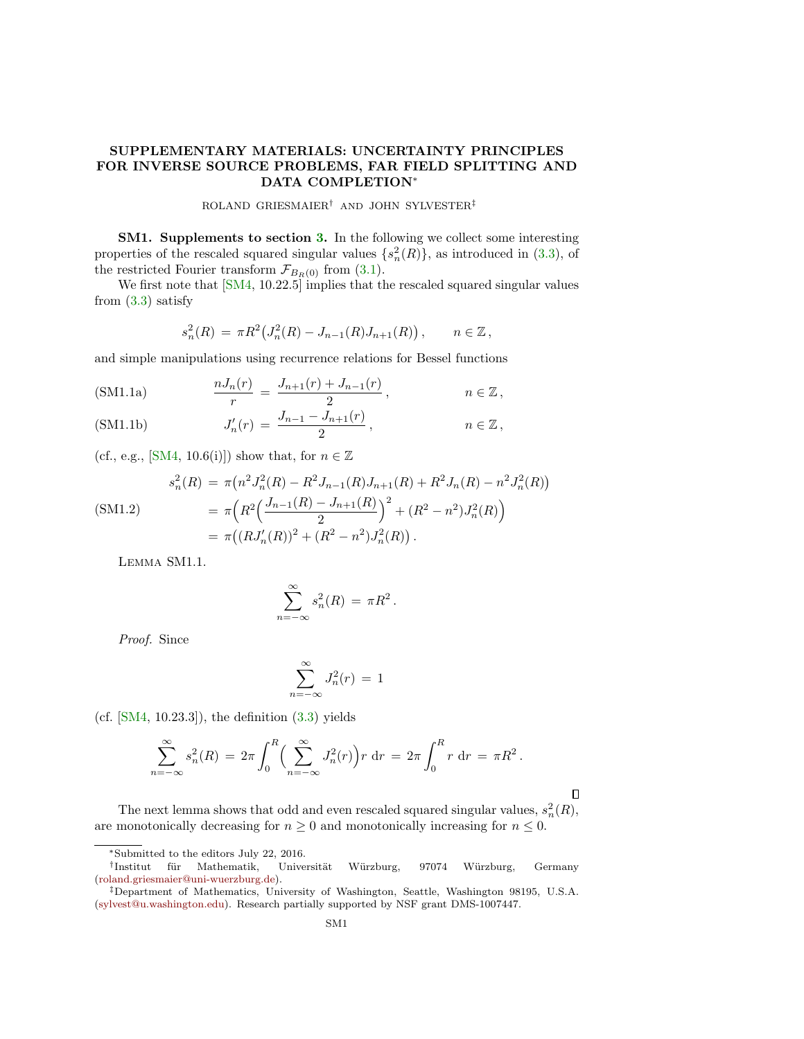## SUPPLEMENTARY MATERIALS: UNCERTAINTY PRINCIPLES FOR INVERSE SOURCE PROBLEMS, FAR FIELD SPLITTING AND DATA COMPLETION<sup>∗</sup>

ROLAND GRIESMAIER† AND JOHN SYLVESTER‡

**SM1.** Supplements to section 3. In the following we collect some interesting properties of the rescaled squared singular values  $\{s_n^2(R)\}\$ , as introduced in (3.3), of the restricted Fourier transform  $\mathcal{F}_{B_R(0)}$  from (3.1).

We first note that  $[SM4, 10.22.5]$  implies that the rescaled squared singular values from  $(3.3)$  satisfy

<span id="page-0-0"></span>
$$
s_n^2(R) = \pi R^2 \big( J_n^2(R) - J_{n-1}(R) J_{n+1}(R) \big) \,, \qquad n \in \mathbb{Z} \,,
$$

and simple manipulations using recurrence relations for Bessel functions

(SM1.1a) 
$$
\frac{nJ_n(r)}{r} = \frac{J_{n+1}(r) + J_{n-1}(r)}{2}, \qquad n \in \mathbb{Z},
$$

(SM1.1b) 
$$
J'_n(r) = \frac{J_{n-1} - J_{n+1}(r)}{2}, \qquad n \in \mathbb{Z},
$$

(cf., e.g., [\[SM4,](#page-14-0) 10.6(i)]) show that, for  $n \in \mathbb{Z}$ 

<span id="page-0-1"></span>
$$
s_n^2(R) = \pi (n^2 J_n^2(R) - R^2 J_{n-1}(R) J_{n+1}(R) + R^2 J_n(R) - n^2 J_n^2(R))
$$
  
\n
$$
= \pi \left( R^2 \left( \frac{J_{n-1}(R) - J_{n+1}(R)}{2} \right)^2 + (R^2 - n^2) J_n^2(R) \right)
$$
  
\n
$$
= \pi \left( (R J_n'(R))^2 + (R^2 - n^2) J_n^2(R) \right).
$$

Lemma SM1.1.

$$
\sum_{n=-\infty}^{\infty} s_n^2(R) = \pi R^2.
$$

Proof. Since

$$
\sum_{n=-\infty}^{\infty} J_n^2(r) = 1
$$

(cf.  $[SM4, 10.23.3]$ ), the definition  $(3.3)$  yields

$$
\sum_{n=-\infty}^{\infty} s_n^2(R) = 2\pi \int_0^R \left( \sum_{n=-\infty}^{\infty} J_n^2(r) \right) r \, dr = 2\pi \int_0^R r \, dr = \pi R^2.
$$

 $\Box$ 

The next lemma shows that odd and even rescaled squared singular values,  $s_n^2(R)$ , are monotonically decreasing for  $n \geq 0$  and monotonically increasing for  $n \leq 0$ .

<sup>∗</sup>Submitted to the editors July 22, 2016.

<sup>&</sup>lt;sup>†</sup>Institut für Mathematik, Universität Würzburg, 97074 Würzburg, Germany [\(roland.griesmaier@uni-wuerzburg.de\)](mailto:roland.griesmaier@uni-wuerzburg.de).

<sup>‡</sup>Department of Mathematics, University of Washington, Seattle, Washington 98195, U.S.A. [\(sylvest@u.washington.edu\)](mailto:sylvest@u.washington.edu). Research partially supported by NSF grant DMS-1007447.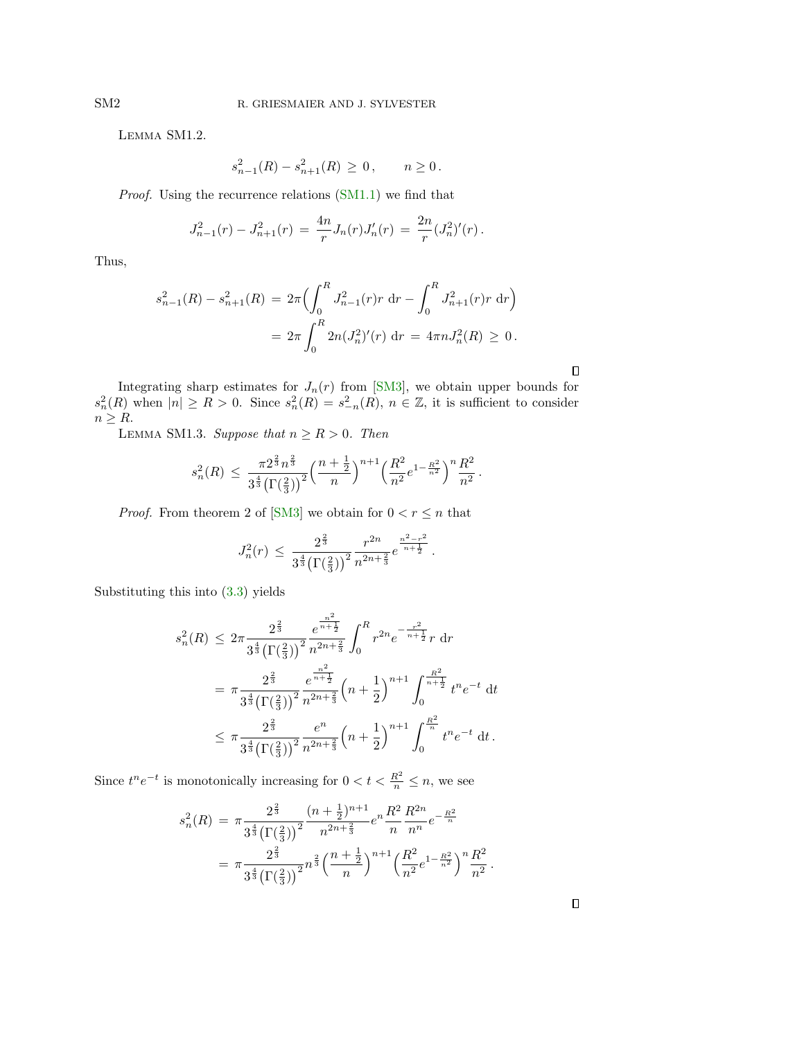Lemma SM1.2.

$$
s_{n-1}^2(R) - s_{n+1}^2(R) \ge 0, \qquad n \ge 0.
$$

Proof. Using the recurrence relations [\(SM1.1\)](#page-0-0) we find that

$$
J_{n-1}^2(r) - J_{n+1}^2(r) = \frac{4n}{r} J_n(r) J_n'(r) = \frac{2n}{r} (J_n^2)'(r).
$$

Thus,

$$
s_{n-1}^{2}(R) - s_{n+1}^{2}(R) = 2\pi \left( \int_{0}^{R} J_{n-1}^{2}(r)r \, dr - \int_{0}^{R} J_{n+1}^{2}(r)r \, dr \right)
$$

$$
= 2\pi \int_{0}^{R} 2n(J_{n}^{2})'(r) \, dr = 4\pi n J_{n}^{2}(R) \ge 0.
$$

Integrating sharp estimates for  $J_n(r)$  from [\[SM3\]](#page-14-1), we obtain upper bounds for  $s_n^2(R)$  when  $|n| \ge R > 0$ . Since  $s_n^2(R) = s_{-n}^2(R)$ ,  $n \in \mathbb{Z}$ , it is sufficient to consider  $n \geq R$ .

LEMMA SM1.3. Suppose that  $n \ge R > 0$ . Then

$$
s_n^2(R) \, \leq \, \frac{\pi 2^{\frac{2}{3}} n^{\frac{2}{3}}}{3^{\frac{4}{3}} \big(\Gamma(\frac{2}{3})\big)^2} \Big(\frac{n+\frac{1}{2}}{n}\Big)^{n+1} \Big(\frac{R^2}{n^2} e^{1-\frac{R^2}{n^2}}\Big)^n \frac{R^2}{n^2}
$$

.

.

*Proof.* From theorem 2 of [\[SM3\]](#page-14-1) we obtain for  $0 < r \leq n$  that

$$
J_n^2(r)\,\leq\,\frac{2^{\frac23}}{3^{\frac43}\big(\Gamma(\frac23)\big)^2}\frac{r^{2n}}{n^{2n+\frac23}}e^{\frac{n^2-r^2}{n+\frac12}}\,.
$$

Substituting this into (3.3) yields

$$
s_n^2(R) \leq 2\pi \frac{2^{\frac{2}{3}}}{3^{\frac{4}{3}} \left(\Gamma(\frac{2}{3})\right)^2} \frac{e^{\frac{n^2}{n+\frac{1}{2}}}}{n^{2n+\frac{2}{3}}} \int_0^R r^{2n} e^{-\frac{r^2}{n+\frac{1}{2}}} r \, dr
$$
  

$$
= \pi \frac{2^{\frac{2}{3}}}{3^{\frac{4}{3}} \left(\Gamma(\frac{2}{3})\right)^2} \frac{e^{\frac{n^2}{n+\frac{1}{2}}}}{n^{2n+\frac{2}{3}}} \left(n+\frac{1}{2}\right)^{n+1} \int_0^{\frac{R^2}{n+\frac{1}{2}}} t^n e^{-t} \, dt
$$
  

$$
\leq \pi \frac{2^{\frac{2}{3}}}{3^{\frac{4}{3}} \left(\Gamma(\frac{2}{3})\right)^2} \frac{e^n}{n^{2n+\frac{2}{3}}} \left(n+\frac{1}{2}\right)^{n+1} \int_0^{\frac{R^2}{n}} t^n e^{-t} \, dt.
$$

Since  $t^n e^{-t}$  is monotonically increasing for  $0 < t < \frac{R^2}{n} \le n$ , we see

$$
s_n^2(R) = \pi \frac{2^{\frac{2}{3}}}{3^{\frac{4}{3}} (\Gamma(\frac{2}{3}))^2} \frac{(n+\frac{1}{2})^{n+1}}{n^{2n+\frac{2}{3}}} e^n \frac{R^2}{n} \frac{R^{2n}}{n^n} e^{-\frac{R^2}{n}}
$$

$$
= \pi \frac{2^{\frac{2}{3}}}{3^{\frac{4}{3}} (\Gamma(\frac{2}{3}))^2} n^{\frac{2}{3}} \left(\frac{n+\frac{1}{2}}{n}\right)^{n+1} \left(\frac{R^2}{n^2} e^{1-\frac{R^2}{n^2}}\right)^n \frac{R^2}{n^2}
$$

 $\Box$ 

 $\Box$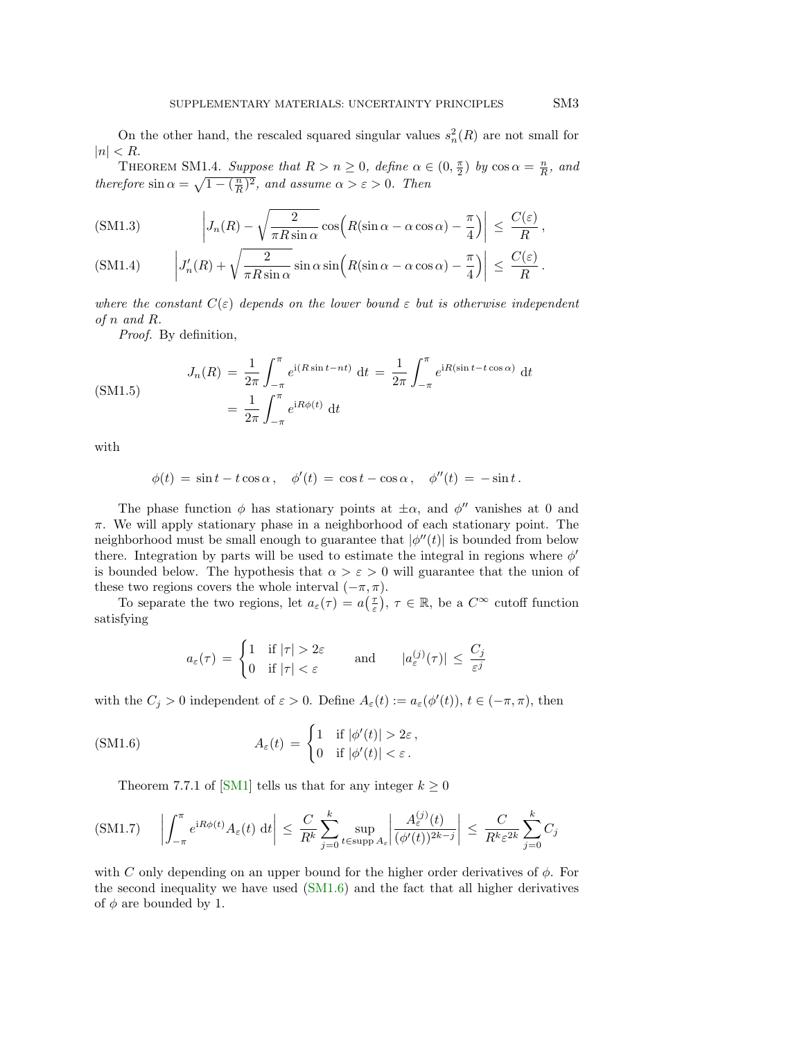On the other hand, the rescaled squared singular values  $s_n^2(R)$  are not small for  $|n| < R$ .

<span id="page-2-1"></span>THEOREM SM1.4. Suppose that  $R > n \geq 0$ , define  $\alpha \in (0, \frac{\pi}{2})$  by  $\cos \alpha = \frac{n}{R}$ , and therefore  $\sin \alpha = \sqrt{1 - (\frac{n}{R})^2}$ , and assume  $\alpha > \varepsilon > 0$ . Then

<span id="page-2-4"></span><span id="page-2-3"></span>(SM1.3) 
$$
\left| J_n(R) - \sqrt{\frac{2}{\pi R \sin \alpha}} \cos \left( R(\sin \alpha - \alpha \cos \alpha) - \frac{\pi}{4} \right) \right| \leq \frac{C(\varepsilon)}{R},
$$
  
(SM1.4) 
$$
\left| J'_n(R) + \sqrt{\frac{2}{\pi R \sin \alpha}} \sin \alpha \sin \left( R(\sin \alpha - \alpha \cos \alpha) - \frac{\pi}{4} \right) \right| \leq \frac{C(\varepsilon)}{R}.
$$

where the constant  $C(\varepsilon)$  depends on the lower bound  $\varepsilon$  but is otherwise independent of n and R.

Proof. By definition,

<span id="page-2-5"></span>
$$
J_n(R) = \frac{1}{2\pi} \int_{-\pi}^{\pi} e^{i(R\sin t - nt)} dt = \frac{1}{2\pi} \int_{-\pi}^{\pi} e^{iR(\sin t - t\cos\alpha)} dt
$$

$$
= \frac{1}{2\pi} \int_{-\pi}^{\pi} e^{iR\phi(t)} dt
$$

with

$$
\phi(t) = \sin t - t \cos \alpha, \quad \phi'(t) = \cos t - \cos \alpha, \quad \phi''(t) = -\sin t.
$$

The phase function  $\phi$  has stationary points at  $\pm \alpha$ , and  $\phi''$  vanishes at 0 and  $\pi$ . We will apply stationary phase in a neighborhood of each stationary point. The neighborhood must be small enough to guarantee that  $|\phi''(t)|$  is bounded from below there. Integration by parts will be used to estimate the integral in regions where  $\phi'$ is bounded below. The hypothesis that  $\alpha > \varepsilon > 0$  will guarantee that the union of these two regions covers the whole interval  $(-\pi, \pi)$ .

To separate the two regions, let  $a_{\varepsilon}(\tau) = a(\frac{\tau}{\varepsilon}), \tau \in \mathbb{R}$ , be a  $C^{\infty}$  cutoff function satisfying

<span id="page-2-2"></span><span id="page-2-0"></span>
$$
a_{\varepsilon}(\tau) = \begin{cases} 1 & \text{if } |\tau| > 2\varepsilon \\ 0 & \text{if } |\tau| < \varepsilon \end{cases} \quad \text{and} \quad |a_{\varepsilon}^{(j)}(\tau)| \le \frac{C_j}{\varepsilon^j}
$$

with the  $C_j > 0$  independent of  $\varepsilon > 0$ . Define  $A_{\varepsilon}(t) := a_{\varepsilon}(\phi'(t)), t \in (-\pi, \pi)$ , then

(SM1.6) 
$$
A_{\varepsilon}(t) = \begin{cases} 1 & \text{if } |\phi'(t)| > 2\varepsilon, \\ 0 & \text{if } |\phi'(t)| < \varepsilon. \end{cases}
$$

Theorem 7.7.1 of [\[SM1\]](#page-14-2) tells us that for any integer  $k \geq 0$ 

$$
\text{(SM1.7)} \quad \left| \int_{-\pi}^{\pi} e^{iR\phi(t)} A_{\varepsilon}(t) \, \mathrm{d}t \right| \leq \frac{C}{R^k} \sum_{j=0}^{k} \sup_{t \in \text{supp } A_{\varepsilon}} \left| \frac{A_{\varepsilon}^{(j)}(t)}{(\phi'(t))^{2k-j}} \right| \leq \frac{C}{R^k \varepsilon^{2k}} \sum_{j=0}^{k} C_j
$$

with C only depending on an upper bound for the higher order derivatives of  $\phi$ . For the second inequality we have used [\(SM1.6\)](#page-2-0) and the fact that all higher derivatives of  $\phi$  are bounded by 1.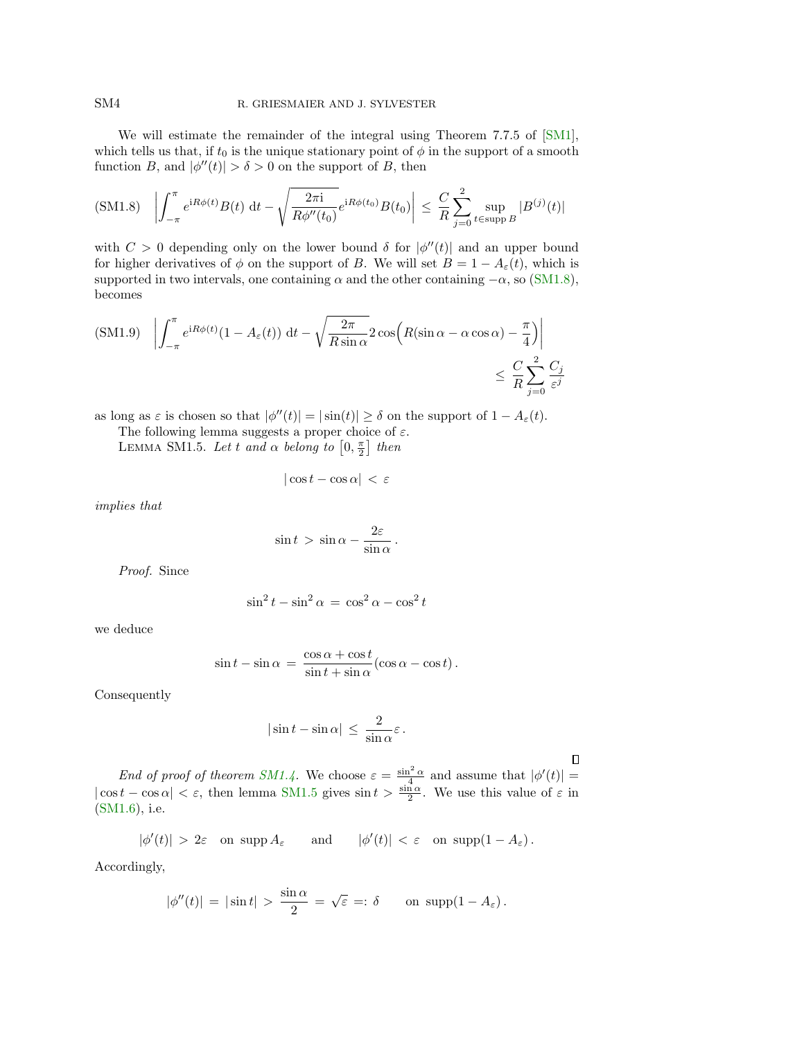We will estimate the remainder of the integral using Theorem 7.7.5 of [\[SM1\]](#page-14-2), which tells us that, if  $t_0$  is the unique stationary point of  $\phi$  in the support of a smooth function B, and  $|\phi''(t)| > \delta > 0$  on the support of B, then

<span id="page-3-0"></span>
$$
\text{(SM1.8)} \quad \left| \int_{-\pi}^{\pi} e^{iR\phi(t)} B(t) \, \mathrm{d}t - \sqrt{\frac{2\pi i}{R\phi''(t_0)}} e^{iR\phi(t_0)} B(t_0) \right| \leq \frac{C}{R} \sum_{j=0}^{2} \sup_{t \in \text{supp } B} |B^{(j)}(t)|
$$

with  $C > 0$  depending only on the lower bound  $\delta$  for  $|\phi''(t)|$  and an upper bound for higher derivatives of  $\phi$  on the support of B. We will set  $B = 1 - A_{\varepsilon}(t)$ , which is supported in two intervals, one containing  $\alpha$  and the other containing  $-\alpha$ , so [\(SM1.8\)](#page-3-0), becomes

<span id="page-3-2"></span>
$$
\text{(SM1.9)} \quad \left| \int_{-\pi}^{\pi} e^{iR\phi(t)} (1 - A_{\varepsilon}(t)) \, \mathrm{d}t - \sqrt{\frac{2\pi}{R \sin \alpha}} 2 \cos \left( R(\sin \alpha - \alpha \cos \alpha) - \frac{\pi}{4} \right) \right|
$$
\n
$$
\leq \frac{C}{R} \sum_{j=0}^{2} \frac{C_j}{\varepsilon^j}
$$

as long as  $\varepsilon$  is chosen so that  $|\phi''(t)| = |\sin(t)| \ge \delta$  on the support of  $1 - A_{\varepsilon}(t)$ .

The following lemma suggests a proper choice of  $\varepsilon$ .

<span id="page-3-1"></span>LEMMA SM1.5. Let t and  $\alpha$  belong to  $\left[0, \frac{\pi}{2}\right]$  then

$$
|\cos t - \cos \alpha| < \varepsilon
$$

implies that

$$
\sin t > \sin \alpha - \frac{2\varepsilon}{\sin \alpha} \, .
$$

Proof. Since

$$
\sin^2 t - \sin^2 \alpha = \cos^2 \alpha - \cos^2 t
$$

we deduce

$$
\sin t - \sin \alpha = \frac{\cos \alpha + \cos t}{\sin t + \sin \alpha} (\cos \alpha - \cos t).
$$

Consequently

$$
|\sin t - \sin \alpha| \le \frac{2}{\sin \alpha} \varepsilon.
$$

 $\Box$ 

End of proof of theorem [SM1.4.](#page-2-1) We choose  $\varepsilon = \frac{\sin^2 \alpha}{4}$  and assume that  $|\phi'(t)| =$  $|\cos t - \cos \alpha| < \varepsilon$ , then lemma [SM1.5](#page-3-1) gives  $\sin t > \frac{\sin \alpha}{2}$ . We use this value of  $\varepsilon$  in [\(SM1.6\)](#page-2-0), i.e.

$$
|\phi'(t)| > 2\varepsilon
$$
 on  $\text{supp } A_{\varepsilon}$  and  $|\phi'(t)| < \varepsilon$  on  $\text{supp}(1 - A_{\varepsilon})$ .

Accordingly,

$$
|\phi''(t)| = |\sin t| > \frac{\sin \alpha}{2} = \sqrt{\varepsilon} =: \delta
$$
 on  $\text{supp}(1 - A_{\varepsilon}).$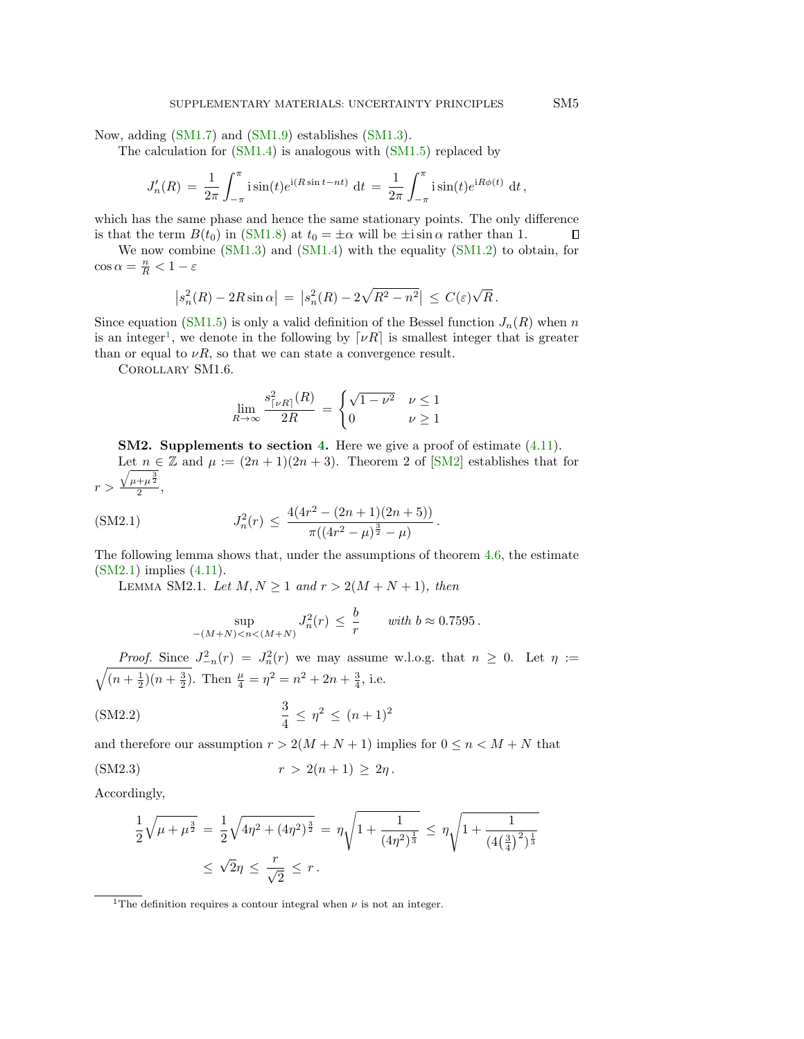Now, adding [\(SM1.7\)](#page-2-2) and [\(SM1.9\)](#page-3-2) establishes [\(SM1.3\)](#page-2-3).

The calculation for  $(SM1.4)$  is analogous with  $(SM1.5)$  replaced by

$$
J'_n(R) = \frac{1}{2\pi} \int_{-\pi}^{\pi} i \sin(t) e^{i(R\sin t - nt)} dt = \frac{1}{2\pi} \int_{-\pi}^{\pi} i \sin(t) e^{iR\phi(t)} dt,
$$

which has the same phase and hence the same stationary points. The only difference is that the term  $B(t_0)$  in [\(SM1.8\)](#page-3-0) at  $t_0 = \pm \alpha$  will be  $\pm i \sin \alpha$  rather than 1.  $\Box$ 

We now combine [\(SM1.3\)](#page-2-3) and [\(SM1.4\)](#page-2-4) with the equality [\(SM1.2\)](#page-0-1) to obtain, for  $\cos \alpha = \frac{n}{R} < 1 - \varepsilon$ 

$$
\left| s_n^2(R) - 2R\sin\alpha \right| \, = \, \left| s_n^2(R) - 2\sqrt{R^2 - n^2} \right| \, \leq \, C(\varepsilon)\sqrt{R} \, .
$$

Since equation [\(SM1.5\)](#page-2-5) is only a valid definition of the Bessel function  $J_n(R)$  when n is an integer<sup>[1](#page-4-0)</sup>, we denote in the following by  $\lceil \nu R \rceil$  is smallest integer that is greater than or equal to  $\nu R$ , so that we can state a convergence result.

Corollary SM1.6.

$$
\lim_{R \to \infty} \frac{s_{\lceil \nu R \rceil}^2(R)}{2R} = \begin{cases} \sqrt{1 - \nu^2} & \nu \le 1 \\ 0 & \nu \ge 1 \end{cases}
$$

SM2. Supplements to section 4. Here we give a proof of estimate  $(4.11)$ . Let  $n \in \mathbb{Z}$  and  $\mu := (2n + 1)(2n + 3)$ . Theorem 2 of [\[SM2\]](#page-14-3) establishes that for  $r >$  $\sqrt{\mu+\mu^{\frac{3}{2}}}$  $\frac{+\mu}{2}$ ,

<span id="page-4-3"></span><span id="page-4-2"></span>.

<span id="page-4-1"></span>(SM2.1) 
$$
J_n^2(r) \le \frac{4(4r^2 - (2n+1)(2n+5))}{\pi((4r^2 - \mu)^{\frac{3}{2}} - \mu)}
$$

The following lemma shows that, under the assumptions of theorem 4.6, the estimate [\(SM2.1\)](#page-4-1) implies (4.11).

LEMMA SM2.1. Let  $M, N \geq 1$  and  $r > 2(M + N + 1)$ , then

$$
\sup_{-(M+N)
$$

*Proof.* Since  $J_{-n}^2(r) = J_n^2(r)$  we may assume w.l.o.g. that  $n \geq 0$ . Let  $\eta :=$  $\sqrt{(n+\frac{1}{2})(n+\frac{3}{2})}$ . Then  $\frac{\mu}{4} = \eta^2 = n^2 + 2n + \frac{3}{4}$ , i.e.

(SM2.2) 
$$
\frac{3}{4} \leq \eta^2 \leq (n+1)^2
$$

and therefore our assumption  $r > 2(M + N + 1)$  implies for  $0 \leq n \leq M + N$  that

(SM2.3) 
$$
r > 2(n+1) \geq 2\eta
$$
.

Accordingly,

$$
\frac{1}{2}\sqrt{\mu+\mu^{\frac{3}{2}}} = \frac{1}{2}\sqrt{4\eta^2+(4\eta^2)^{\frac{3}{2}}} = \eta\sqrt{1+\frac{1}{(4\eta^2)^{\frac{1}{3}}}} \leq \eta\sqrt{1+\frac{1}{(4(\frac{3}{4})^2)^{\frac{1}{3}}}}
$$

$$
\leq \sqrt{2}\eta \leq \frac{r}{\sqrt{2}} \leq r.
$$

<span id="page-4-0"></span><sup>&</sup>lt;sup>1</sup>The definition requires a contour integral when  $\nu$  is not an integer.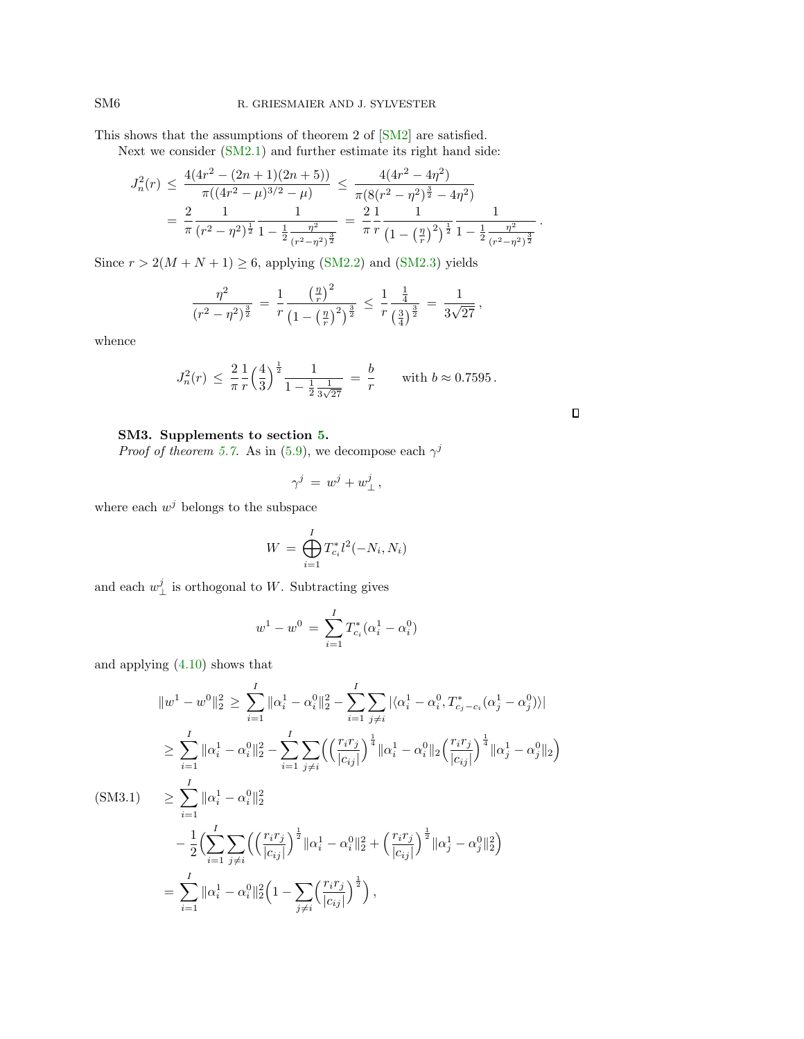This shows that the assumptions of theorem 2 of [\[SM2\]](#page-14-3) are satisfied.

Next we consider [\(SM2.1\)](#page-4-1) and further estimate its right hand side:

$$
J_n^2(r) \le \frac{4(4r^2 - (2n+1)(2n+5))}{\pi((4r^2 - \mu)^{3/2} - \mu)} \le \frac{4(4r^2 - 4\eta^2)}{\pi(8(r^2 - \eta^2)^{\frac{3}{2}} - 4\eta^2)}
$$
  
=  $\frac{2}{\pi} \frac{1}{(r^2 - \eta^2)^{\frac{1}{2}}} \frac{1}{1 - \frac{1}{2} \frac{\eta^2}{(r^2 - \eta^2)^{\frac{3}{2}}}} = \frac{2}{\pi} \frac{1}{r} \frac{1}{\left(1 - \left(\frac{\eta}{r}\right)^2\right)^{\frac{1}{2}}} \frac{1}{1 - \frac{1}{2} \frac{\eta^2}{(r^2 - \eta^2)^{\frac{3}{2}}}}.$ 

Since  $r > 2(M + N + 1) \ge 6$ , applying [\(SM2.2\)](#page-4-2) and [\(SM2.3\)](#page-4-3) yields

$$
\frac{\eta^2}{(r^2 - \eta^2)^{\frac{3}{2}}} = \frac{1}{r} \frac{\left(\frac{\eta}{r}\right)^2}{\left(1 - \left(\frac{\eta}{r}\right)^2\right)^{\frac{3}{2}}} \le \frac{1}{r} \frac{\frac{1}{4}}{\left(\frac{3}{4}\right)^{\frac{3}{2}}} = \frac{1}{3\sqrt{27}},
$$

whence

$$
J_n^2(r) \le \frac{2}{\pi} \frac{1}{r} \left(\frac{4}{3}\right)^{\frac{1}{2}} \frac{1}{1 - \frac{1}{2} \frac{1}{3\sqrt{27}}} = \frac{b}{r} \quad \text{with } b \approx 0.7595.
$$

 $\Box$ 

## SM3. Supplements to section 5.

*Proof of theorem 5.7.* As in (5.9), we decompose each  $\gamma^{j}$ 

$$
\gamma^j\,=\,w^j+w^j_\perp\,,
$$

where each  $w^j$  belongs to the subspace

$$
W = \bigoplus_{i=1}^{I} T_{c_i}^* l^2(-N_i, N_i)
$$

and each  $w_{\perp}^{j}$  is orthogonal to W. Subtracting gives

$$
w^{1} - w^{0} = \sum_{i=1}^{I} T_{c_{i}}^{*} (\alpha_{i}^{1} - \alpha_{i}^{0})
$$

and applying (4.10) shows that

<span id="page-5-0"></span>
$$
\|w^{1} - w^{0}\|_{2}^{2} \geq \sum_{i=1}^{I} \|\alpha_{i}^{1} - \alpha_{i}^{0}\|_{2}^{2} - \sum_{i=1}^{I} \sum_{j\neq i} |\langle \alpha_{i}^{1} - \alpha_{i}^{0}, T_{c_{j}-c_{i}}^{*}(\alpha_{j}^{1} - \alpha_{j}^{0})\rangle|
$$
  
\n
$$
\geq \sum_{i=1}^{I} \|\alpha_{i}^{1} - \alpha_{i}^{0}\|_{2}^{2} - \sum_{i=1}^{I} \sum_{j\neq i} \left( \left(\frac{r_{i}r_{j}}{|c_{ij}|}\right)^{\frac{1}{4}} \|\alpha_{i}^{1} - \alpha_{i}^{0}\|_{2} \left(\frac{r_{i}r_{j}}{|c_{ij}|}\right)^{\frac{1}{4}} \|\alpha_{j}^{1} - \alpha_{j}^{0}\|_{2} \right)
$$
  
\n(SM3.1) 
$$
\geq \sum_{i=1}^{I} \|\alpha_{i}^{1} - \alpha_{i}^{0}\|_{2}^{2}
$$
  
\n
$$
- \frac{1}{2} \Big( \sum_{i=1}^{I} \sum_{j\neq i} \left( \left(\frac{r_{i}r_{j}}{|c_{ij}|}\right)^{\frac{1}{2}} \|\alpha_{i}^{1} - \alpha_{i}^{0}\|_{2}^{2} + \left(\frac{r_{i}r_{j}}{|c_{ij}|}\right)^{\frac{1}{2}} \|\alpha_{j}^{1} - \alpha_{j}^{0}\|_{2}^{2} \right)
$$
  
\n
$$
= \sum_{i=1}^{I} \|\alpha_{i}^{1} - \alpha_{i}^{0}\|_{2}^{2} \Big( 1 - \sum_{j\neq i} \left(\frac{r_{i}r_{j}}{|c_{ij}|}\right)^{\frac{1}{2}} \Big),
$$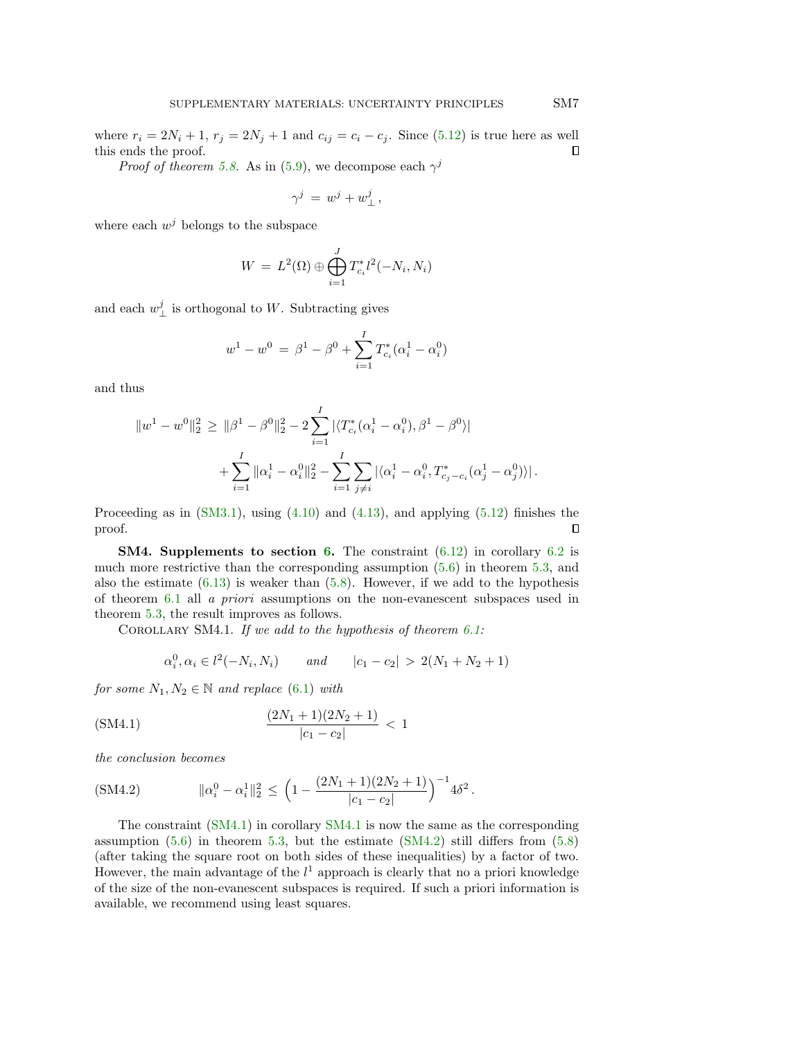where  $r_i = 2N_i + 1$ ,  $r_j = 2N_j + 1$  and  $c_{ij} = c_i - c_j$ . Since (5.12) is true here as well this ends the proof.  $\Box$ 

*Proof of theorem [5.8.](#page-13-0)* As in (5.9), we decompose each  $\gamma^{j}$ 

$$
\gamma^j\,=\,w^j+w^j_\perp\,,
$$

where each  $w^j$  belongs to the subspace

$$
W = L^2(\Omega) \oplus \bigoplus_{i=1}^J T_{c_i}^* l^2(-N_i, N_i)
$$

and each  $w_{\perp}^{j}$  is orthogonal to W. Subtracting gives

$$
w^{1} - w^{0} = \beta^{1} - \beta^{0} + \sum_{i=1}^{I} T_{c_{i}}^{*}(\alpha_{i}^{1} - \alpha_{i}^{0})
$$

and thus

$$
||w^{1} - w^{0}||_{2}^{2} \geq ||\beta^{1} - \beta^{0}||_{2}^{2} - 2\sum_{i=1}^{I} |\langle T_{c_{i}}^{*}(\alpha_{i}^{1} - \alpha_{i}^{0}), \beta^{1} - \beta^{0} \rangle|
$$
  
+ 
$$
\sum_{i=1}^{I} ||\alpha_{i}^{1} - \alpha_{i}^{0}||_{2}^{2} - \sum_{i=1}^{I} \sum_{j \neq i} |\langle \alpha_{i}^{1} - \alpha_{i}^{0}, T_{c_{j}-c_{i}}^{*}(\alpha_{j}^{1} - \alpha_{j}^{0}) \rangle|.
$$

Proceeding as in  $(SM3.1)$ , using  $(4.10)$  and  $(4.13)$ , and applying  $(5.12)$  finishes the proof.  $\Box$ 

**SM4. Supplements to section 6.** The constraint  $(6.12)$  in corollary 6.2 is much more restrictive than the corresponding assumption (5.6) in theorem 5.3, and also the estimate  $(6.13)$  is weaker than  $(5.8)$ . However, if we add to the hypothesis of theorem 6.1 all a priori assumptions on the non-evanescent subspaces used in theorem 5.3, the result improves as follows.

<span id="page-6-1"></span>COROLLARY SM4.1. If we add to the hypothesis of theorem  $6.1$ :

<span id="page-6-2"></span><span id="page-6-0"></span>
$$
\alpha_i^0, \alpha_i \in l^2(-N_i, N_i)
$$
 and  $|c_1 - c_2| > 2(N_1 + N_2 + 1)$ 

for some  $N_1, N_2 \in \mathbb{N}$  and replace (6.1) with

$$
\frac{(2N_1+1)(2N_2+1)}{|c_1-c_2|} < 1
$$

the conclusion becomes

(SM4.2) 
$$
\|\alpha_i^0 - \alpha_i^1\|_2^2 \le \left(1 - \frac{(2N_1 + 1)(2N_2 + 1)}{|c_1 - c_2|}\right)^{-1} 4\delta^2.
$$

The constraint [\(SM4.1\)](#page-6-0) in corollary [SM4.1](#page-6-1) is now the same as the corresponding assumption  $(5.6)$  in theorem 5.3, but the estimate  $(SM4.2)$  still differs from  $(5.8)$ (after taking the square root on both sides of these inequalities) by a factor of two. However, the main advantage of the  $l^1$  approach is clearly that no a priori knowledge of the size of the non-evanescent subspaces is required. If such a priori information is available, we recommend using least squares.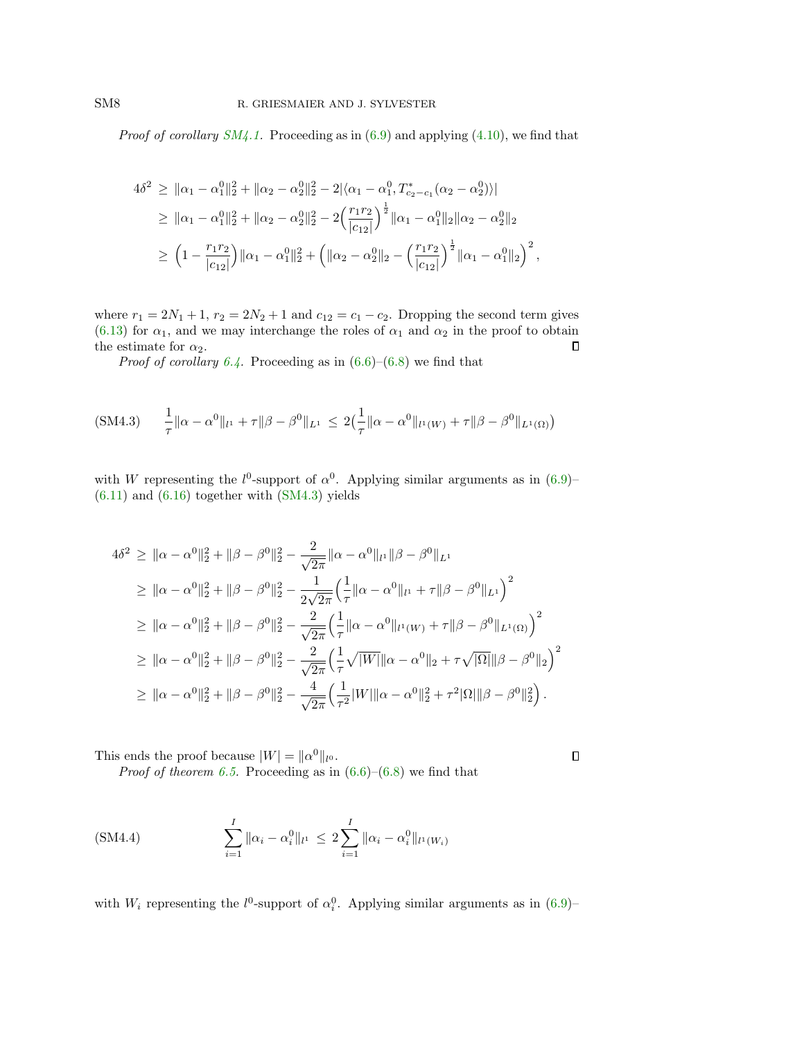*Proof of corollary [SM4.1.](#page-6-1)* Proceeding as in  $(6.9)$  and applying  $(4.10)$ , we find that

$$
4\delta^2 \ge ||\alpha_1 - \alpha_1^0||_2^2 + ||\alpha_2 - \alpha_2^0||_2^2 - 2|\langle \alpha_1 - \alpha_1^0, T_{c_2 - c_1}^*(\alpha_2 - \alpha_2^0) \rangle|
$$
  
\n
$$
\ge ||\alpha_1 - \alpha_1^0||_2^2 + ||\alpha_2 - \alpha_2^0||_2^2 - 2\left(\frac{r_1 r_2}{|c_{12}|}\right)^{\frac{1}{2}} ||\alpha_1 - \alpha_1^0||_2 ||\alpha_2 - \alpha_2^0||_2
$$
  
\n
$$
\ge \left(1 - \frac{r_1 r_2}{|c_{12}|}\right) ||\alpha_1 - \alpha_1^0||_2^2 + \left( ||\alpha_2 - \alpha_2^0||_2 - \left(\frac{r_1 r_2}{|c_{12}|}\right)^{\frac{1}{2}} ||\alpha_1 - \alpha_1^0||_2\right)^2,
$$

where  $r_1 = 2N_1 + 1$ ,  $r_2 = 2N_2 + 1$  and  $c_{12} = c_1 - c_2$ . Dropping the second term gives (6.13) for  $\alpha_1$ , and we may interchange the roles of  $\alpha_1$  and  $\alpha_2$  in the proof to obtain the estimate for  $\alpha_2$ .  $\Box$ 

<span id="page-7-0"></span>*Proof of corollary 6.4.* Proceeding as in  $(6.6)$ – $(6.8)$  we find that

$$
(SM4.3) \quad \frac{1}{\tau} \|\alpha - \alpha^0\|_{l^1} + \tau \|\beta - \beta^0\|_{L^1} \le 2\left(\frac{1}{\tau} \|\alpha - \alpha^0\|_{l^1(W)} + \tau \|\beta - \beta^0\|_{L^1(\Omega)}\right)
$$

with W representing the  $l^0$ -support of  $\alpha^0$ . Applying similar arguments as in (6.9)–  $(6.11)$  and  $(6.16)$  together with  $(SM4.3)$  yields

$$
4\delta^{2} \geq \|\alpha - \alpha^{0}\|_{2}^{2} + \|\beta - \beta^{0}\|_{2}^{2} - \frac{2}{\sqrt{2\pi}}\|\alpha - \alpha^{0}\|_{l^{1}}\|\beta - \beta^{0}\|_{L^{1}}
$$
  
\n
$$
\geq \|\alpha - \alpha^{0}\|_{2}^{2} + \|\beta - \beta^{0}\|_{2}^{2} - \frac{1}{2\sqrt{2\pi}}\left(\frac{1}{\tau}\|\alpha - \alpha^{0}\|_{l^{1}} + \tau\|\beta - \beta^{0}\|_{L^{1}}\right)^{2}
$$
  
\n
$$
\geq \|\alpha - \alpha^{0}\|_{2}^{2} + \|\beta - \beta^{0}\|_{2}^{2} - \frac{2}{\sqrt{2\pi}}\left(\frac{1}{\tau}\|\alpha - \alpha^{0}\|_{l^{1}(W)} + \tau\|\beta - \beta^{0}\|_{L^{1}(\Omega)}\right)^{2}
$$
  
\n
$$
\geq \|\alpha - \alpha^{0}\|_{2}^{2} + \|\beta - \beta^{0}\|_{2}^{2} - \frac{2}{\sqrt{2\pi}}\left(\frac{1}{\tau}\sqrt{|W|}\|\alpha - \alpha^{0}\|_{2} + \tau\sqrt{|\Omega|}\|\beta - \beta^{0}\|_{2}\right)^{2}
$$
  
\n
$$
\geq \|\alpha - \alpha^{0}\|_{2}^{2} + \|\beta - \beta^{0}\|_{2}^{2} - \frac{4}{\sqrt{2\pi}}\left(\frac{1}{\tau^{2}}|W|\|\alpha - \alpha^{0}\|_{2}^{2} + \tau^{2}|\Omega|\|\beta - \beta^{0}\|_{2}^{2}\right).
$$

<span id="page-7-1"></span> $\Box$ 

This ends the proof because  $|W| = ||\alpha^0||_{l^0}$ .

*Proof of theorem 6.5.* Proceeding as in  $(6.6)-(6.8)$  we find that

(SM4.4) 
$$
\sum_{i=1}^{I} \|\alpha_i - \alpha_i^0\|_{l^1} \le 2 \sum_{i=1}^{I} \|\alpha_i - \alpha_i^0\|_{l^1(W_i)}
$$

with  $W_i$  representing the  $l^0$ -support of  $\alpha_i^0$ . Applying similar arguments as in (6.9)-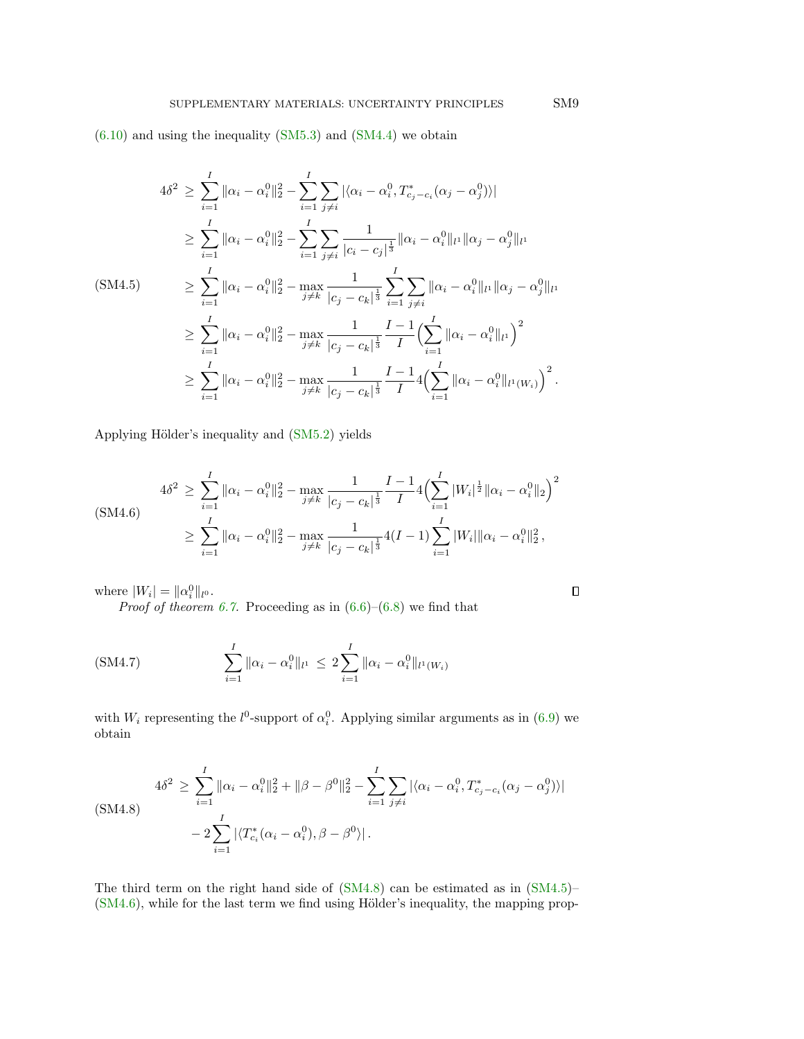$(6.10)$  and using the inequality  $(SM5.3)$  and  $(SM4.4)$  we obtain

<span id="page-8-1"></span>
$$
4\delta^{2} \geq \sum_{i=1}^{I} \|\alpha_{i} - \alpha_{i}^{0}\|_{2}^{2} - \sum_{i=1}^{I} \sum_{j\neq i} |\langle \alpha_{i} - \alpha_{i}^{0}, T_{c_{j}-c_{i}}^{*}(\alpha_{j} - \alpha_{j}^{0})\rangle|
$$
  
\n
$$
\geq \sum_{i=1}^{I} \|\alpha_{i} - \alpha_{i}^{0}\|_{2}^{2} - \sum_{i=1}^{I} \sum_{j\neq i} \frac{1}{|c_{i} - c_{j}|^{\frac{1}{3}}}\|\alpha_{i} - \alpha_{i}^{0}\|_{l^{1}}\|\alpha_{j} - \alpha_{j}^{0}\|_{l^{1}}
$$
  
\n(SM4.5)  
\n
$$
\geq \sum_{i=1}^{I} \|\alpha_{i} - \alpha_{i}^{0}\|_{2}^{2} - \max_{j\neq k} \frac{1}{|c_{j} - c_{k}|^{\frac{1}{3}}}\sum_{i=1}^{I} \sum_{j\neq i} \|\alpha_{i} - \alpha_{i}^{0}\|_{l^{1}}\|\alpha_{j} - \alpha_{j}^{0}\|_{l^{1}}
$$
  
\n
$$
\geq \sum_{i=1}^{I} \|\alpha_{i} - \alpha_{i}^{0}\|_{2}^{2} - \max_{j\neq k} \frac{1}{|c_{j} - c_{k}|^{\frac{1}{3}}}\frac{I - 1}{I} \Big(\sum_{i=1}^{I} \|\alpha_{i} - \alpha_{i}^{0}\|_{l^{1}}\Big)^{2}
$$
  
\n
$$
\geq \sum_{i=1}^{I} \|\alpha_{i} - \alpha_{i}^{0}\|_{2}^{2} - \max_{j\neq k} \frac{1}{|c_{j} - c_{k}|^{\frac{1}{3}}} \frac{I - 1}{I} 4 \Big(\sum_{i=1}^{I} \|\alpha_{i} - \alpha_{i}^{0}\|_{l^{1}(W_{i})}\Big)^{2}.
$$

Applying Hölder's inequality and [\(SM5.2\)](#page-13-2) yields

<span id="page-8-2"></span>
$$
4\delta^2 \ge \sum_{i=1}^I \|\alpha_i - \alpha_i^0\|_2^2 - \max_{j \ne k} \frac{1}{|c_j - c_k|^{\frac{1}{3}}} \frac{I - 1}{I} 4 \Big(\sum_{i=1}^I |W_i|^{\frac{1}{2}} \|\alpha_i - \alpha_i^0\|_2\Big)^2
$$
  

$$
\ge \sum_{i=1}^I \|\alpha_i - \alpha_i^0\|_2^2 - \max_{j \ne k} \frac{1}{|c_j - c_k|^{\frac{1}{3}}} 4(I - 1) \sum_{i=1}^I |W_i| \|\alpha_i - \alpha_i^0\|_2^2,
$$

where  $|W_i| = ||\alpha_i^0||_{l^0}$ .

*Proof of theorem 6.7.* Proceeding as in  $(6.6)-(6.8)$  we find that

(SM4.7) 
$$
\sum_{i=1}^{I} \|\alpha_i - \alpha_i^0\|_{l^1} \le 2 \sum_{i=1}^{I} \|\alpha_i - \alpha_i^0\|_{l^1(W_i)}
$$

with  $W_i$  representing the  $l^0$ -support of  $\alpha_i^0$ . Applying similar arguments as in (6.9) we obtain

<span id="page-8-0"></span>
$$
4\delta^2 \ge \sum_{i=1}^I \|\alpha_i - \alpha_i^0\|_2^2 + \|\beta - \beta^0\|_2^2 - \sum_{i=1}^I \sum_{j \ne i} |\langle \alpha_i - \alpha_i^0, T_{c_j - c_i}^*(\alpha_j - \alpha_j^0) \rangle|
$$
  

$$
- 2 \sum_{i=1}^I |\langle T_{c_i}^*(\alpha_i - \alpha_i^0), \beta - \beta^0 \rangle|.
$$

The third term on the right hand side of [\(SM4.8\)](#page-8-0) can be estimated as in [\(SM4.5\)](#page-8-1)–  $(SM4.6)$ , while for the last term we find using Hölder's inequality, the mapping prop-

<span id="page-8-3"></span> $\Box$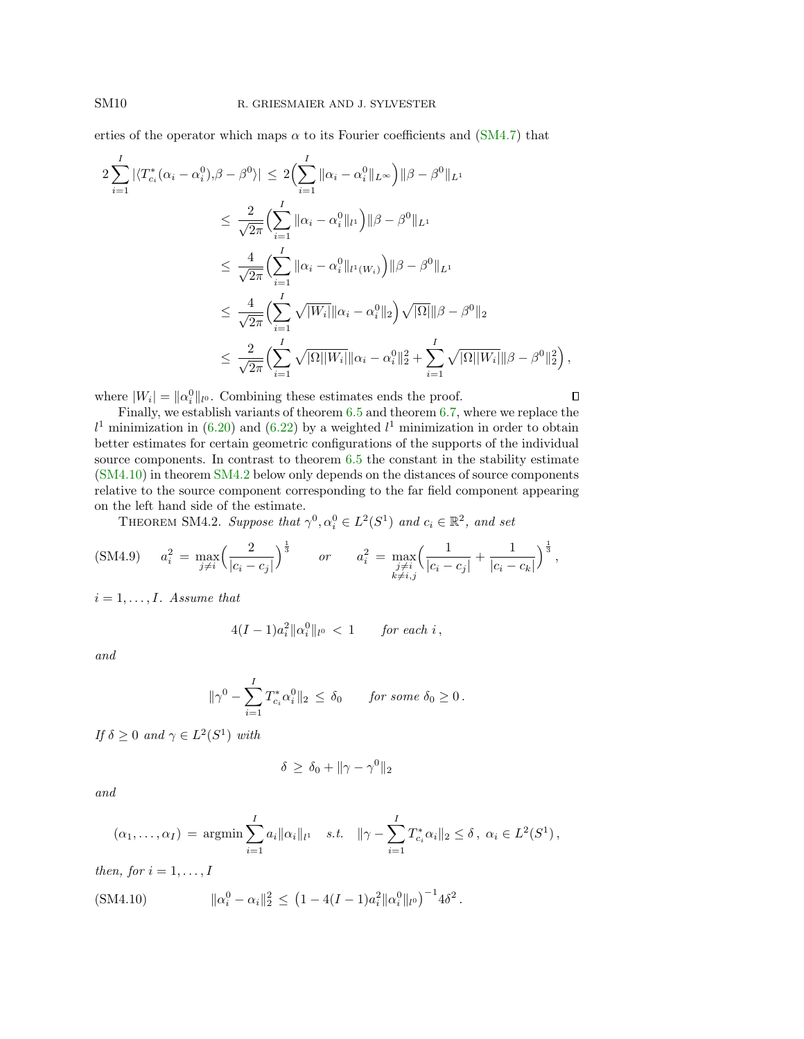erties of the operator which maps  $\alpha$  to its Fourier coefficients and [\(SM4.7\)](#page-8-3) that

$$
2\sum_{i=1}^{I} |\langle T_{c_i}^*(\alpha_i - \alpha_i^0), \beta - \beta^0 \rangle| \le 2\left(\sum_{i=1}^{I} \|\alpha_i - \alpha_i^0\|_{L^{\infty}}\right) \|\beta - \beta^0\|_{L^1}
$$
  

$$
\le \frac{2}{\sqrt{2\pi}} \left(\sum_{i=1}^{I} \|\alpha_i - \alpha_i^0\|_{l^1}\right) \|\beta - \beta^0\|_{L^1}
$$
  

$$
\le \frac{4}{\sqrt{2\pi}} \left(\sum_{i=1}^{I} \|\alpha_i - \alpha_i^0\|_{l^1(W_i)}\right) \|\beta - \beta^0\|_{L^1}
$$
  

$$
\le \frac{4}{\sqrt{2\pi}} \left(\sum_{i=1}^{I} \sqrt{|W_i|} \|\alpha_i - \alpha_i^0\|_2\right) \sqrt{|\Omega|} \|\beta - \beta^0\|_2
$$
  

$$
\le \frac{2}{\sqrt{2\pi}} \left(\sum_{i=1}^{I} \sqrt{|\Omega| |W_i|} \|\alpha_i - \alpha_i^0\|_2^2 + \sum_{i=1}^{I} \sqrt{|\Omega| |W_i|} \|\beta - \beta^0\|_2^2\right),
$$

where  $|W_i| = \|\alpha_i^0\|_{l^0}$ . Combining these estimates ends the proof.

Finally, we establish variants of theorem 6.5 and theorem 6.7, where we replace the  $l<sup>1</sup>$  minimization in (6.20) and (6.22) by a weighted  $l<sup>1</sup>$  minimization in order to obtain better estimates for certain geometric configurations of the supports of the individual source components. In contrast to theorem 6.5 the constant in the stability estimate [\(SM4.10\)](#page-9-0) in theorem [SM4.2](#page-9-1) below only depends on the distances of source components relative to the source component corresponding to the far field component appearing on the left hand side of the estimate.

<span id="page-9-2"></span> $\Box$ 

<span id="page-9-1"></span>THEOREM SM4.2. Suppose that  $\gamma^0, \alpha_i^0 \in L^2(S^1)$  and  $c_i \in \mathbb{R}^2$ , and set

(SM4.9) 
$$
a_i^2 = \max_{j \neq i} \left( \frac{2}{|c_i - c_j|} \right)^{\frac{1}{3}}
$$
 or  $a_i^2 = \max_{\substack{j \neq i \\ k \neq i,j}} \left( \frac{1}{|c_i - c_j|} + \frac{1}{|c_i - c_k|} \right)^{\frac{1}{3}},$ 

 $i = 1, \ldots, I$ . Assume that

$$
4(I-1)a_i^2\|\alpha_i^0\|_{l^0} \, < \, 1 \qquad \text{for each } i \, ,
$$

and

$$
\|\gamma^0 - \sum_{i=1}^I T^*_{c_i} \alpha_i^0\|_2 \le \delta_0 \quad \text{for some } \delta_0 \ge 0.
$$

If  $\delta \geq 0$  and  $\gamma \in L^2(S^1)$  with

$$
\delta \, \geq \, \delta_0 + \|\gamma - \gamma^0\|_2
$$

and

<span id="page-9-0"></span>
$$
(\alpha_1, ..., \alpha_I) = \underset{i=1}{\text{argmin}} \sum_{i=1}^I a_i ||\alpha_i||_{l^1} \quad s.t. \quad ||\gamma - \sum_{i=1}^I T_{c_i}^* \alpha_i||_2 \le \delta, \ \alpha_i \in L^2(S^1),
$$

then, for  $i = 1, \ldots, I$ 

$$
(SM4.10) \t\t ||\alpha_i^0 - \alpha_i||_2^2 \le (1 - 4(I - 1)a_i^2 ||\alpha_i^0||_{l^0})^{-1} 4\delta^2.
$$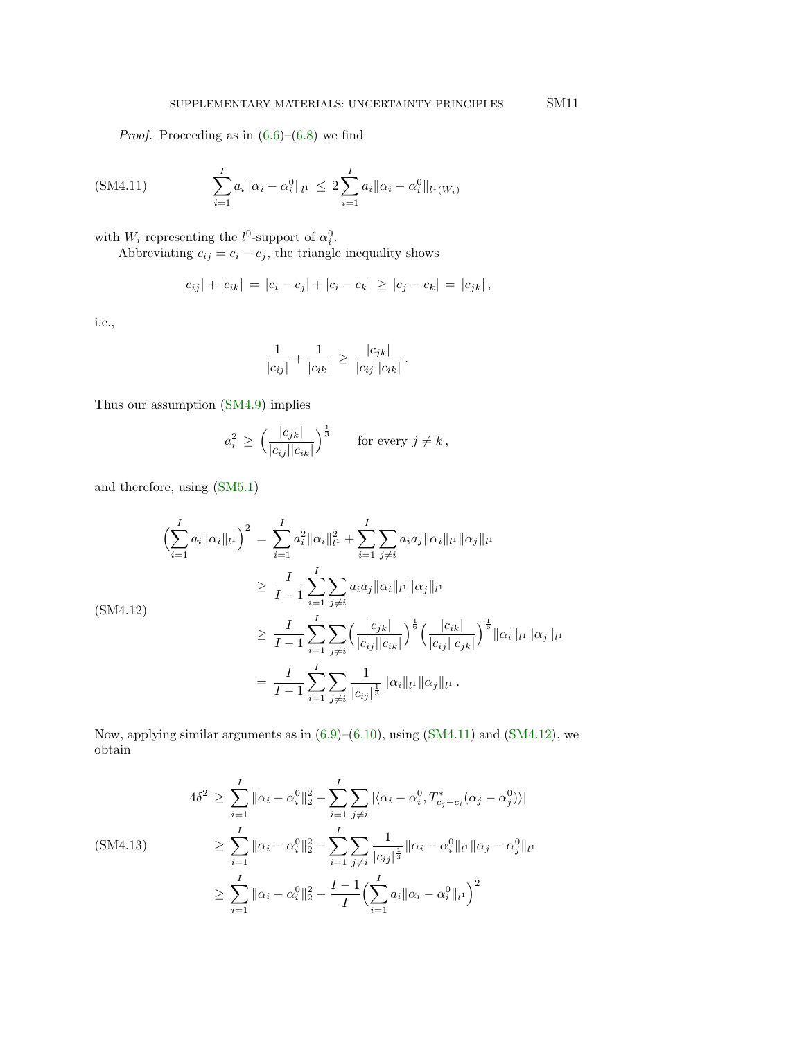*Proof.* Proceeding as in  $(6.6)$ – $(6.8)$  we find

(SM4.11) 
$$
\sum_{i=1}^{I} a_i \|\alpha_i - \alpha_i^0\|_{l^1} \le 2 \sum_{i=1}^{I} a_i \|\alpha_i - \alpha_i^0\|_{l^1(W_i)}
$$

with  $W_i$  representing the  $l^0$ -support of  $\alpha_i^0$ .

Abbreviating  $c_{ij} = c_i - c_j$ , the triangle inequality shows

$$
|c_{ij}| + |c_{ik}| = |c_i - c_j| + |c_i - c_k| \ge |c_j - c_k| = |c_{jk}|,
$$

i.e.,

<span id="page-10-0"></span>
$$
\frac{1}{|c_{ij}|} + \frac{1}{|c_{ik}|} \ge \frac{|c_{jk}|}{|c_{ij}||c_{ik}|}.
$$

Thus our assumption [\(SM4.9\)](#page-9-2) implies

$$
a_i^2 \ge \left(\frac{|c_{jk}|}{|c_{ij}||c_{ik}|}\right)^{\frac{1}{3}} \quad \text{for every } j \ne k,
$$

and therefore, using [\(SM5.1\)](#page-13-3)

<span id="page-10-1"></span>
$$
\left(\sum_{i=1}^{I} a_{i} \|\alpha_{i}\|_{l^{1}}\right)^{2} = \sum_{i=1}^{I} a_{i}^{2} \|\alpha_{i}\|_{l^{1}}^{2} + \sum_{i=1}^{I} \sum_{j \neq i} a_{i} a_{j} \|\alpha_{i}\|_{l^{1}} \|\alpha_{j}\|_{l^{1}}
$$
\n
$$
\geq \frac{I}{I-1} \sum_{i=1}^{I} \sum_{j \neq i} a_{i} a_{j} \|\alpha_{i}\|_{l^{1}} \|\alpha_{j}\|_{l^{1}}
$$
\n(SM4.12)\n
$$
\geq \frac{I}{I-1} \sum_{i=1}^{I} \sum_{j \neq i} \left(\frac{|c_{jk}|}{|c_{ij}||c_{ik}|}\right)^{\frac{1}{6}} \left(\frac{|c_{ik}|}{|c_{ij}||c_{jk}|}\right)^{\frac{1}{6}} \|\alpha_{i}\|_{l^{1}} \|\alpha_{j}\|_{l^{1}}
$$
\n
$$
= \frac{I}{I-1} \sum_{i=1}^{I} \sum_{j \neq i} \frac{1}{|c_{ij}|^{\frac{1}{3}}} \|\alpha_{i}\|_{l^{1}} \|\alpha_{j}\|_{l^{1}}.
$$

Now, applying similar arguments as in  $(6.9)$ – $(6.10)$ , using  $(SM4.11)$  and  $(SM4.12)$ , we obtain

<span id="page-10-2"></span>
$$
4\delta^2 \ge \sum_{i=1}^I \|\alpha_i - \alpha_i^0\|_2^2 - \sum_{i=1}^I \sum_{j\ne i} |\langle \alpha_i - \alpha_i^0, T_{c_j - c_i}^*(\alpha_j - \alpha_j^0) \rangle|
$$
  
\n(SM4.13)  
\n
$$
\ge \sum_{i=1}^I \|\alpha_i - \alpha_i^0\|_2^2 - \sum_{i=1}^I \sum_{j\ne i} \frac{1}{|c_{ij}|^{\frac{1}{3}}} \|\alpha_i - \alpha_i^0\|_{l^1} \|\alpha_j - \alpha_j^0\|_{l^1}
$$
  
\n
$$
\ge \sum_{i=1}^I \|\alpha_i - \alpha_i^0\|_2^2 - \frac{I - 1}{I} \Big(\sum_{i=1}^I \alpha_i \|\alpha_i - \alpha_i^0\|_{l^1}\Big)^2
$$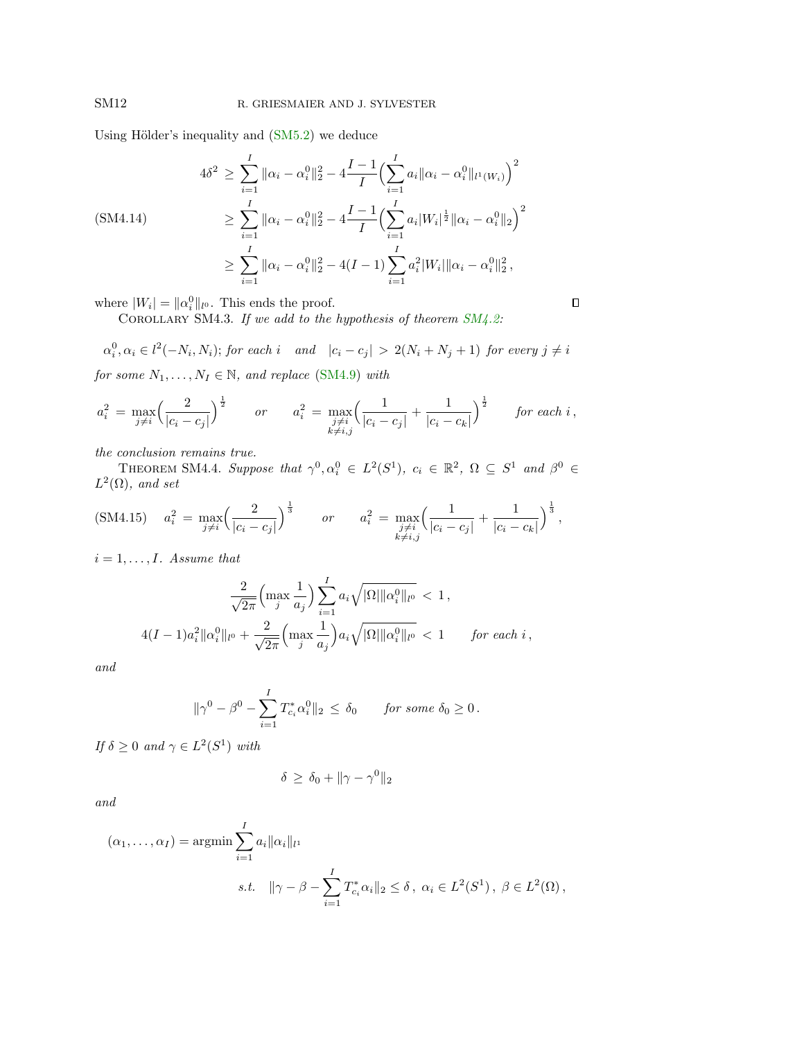Using Hölder's inequality and  $(SM5.2)$  we deduce

<span id="page-11-0"></span>
$$
4\delta^2 \ge \sum_{i=1}^I \|\alpha_i - \alpha_i^0\|_2^2 - 4\frac{I-1}{I} \Big(\sum_{i=1}^I a_i \|\alpha_i - \alpha_i^0\|_{l^1(W_i)}\Big)^2
$$
  
\n
$$
\ge \sum_{i=1}^I \|\alpha_i - \alpha_i^0\|_2^2 - 4\frac{I-1}{I} \Big(\sum_{i=1}^I a_i |W_i|^{\frac{1}{2}} \|\alpha_i - \alpha_i^0\|_2\Big)^2
$$
  
\n
$$
\ge \sum_{i=1}^I \|\alpha_i - \alpha_i^0\|_2^2 - 4(I-1) \sum_{i=1}^I a_i^2 |W_i| \|\alpha_i - \alpha_i^0\|_2^2,
$$

where  $|W_i| = ||\alpha_i^0||_{l^0}$ . This ends the proof.

COROLLARY SM4.3. If we add to the hypothesis of theorem  $SM4.2$ :

$$
\alpha_i^0, \alpha_i \in l^2(-N_i, N_i); \text{ for each } i \quad \text{and} \quad |c_i - c_j| > 2(N_i + N_j + 1) \text{ for every } j \neq i
$$

 $\Box$ 

for some  $N_1, \ldots, N_I \in \mathbb{N}$ , and replace [\(SM4.9\)](#page-9-2) with

$$
a_i^2 = \max_{j \neq i} \left( \frac{2}{|c_i - c_j|} \right)^{\frac{1}{2}} \qquad or \qquad a_i^2 = \max_{\substack{j \neq i \\ k \neq i,j}} \left( \frac{1}{|c_i - c_j|} + \frac{1}{|c_i - c_k|} \right)^{\frac{1}{2}} \qquad \text{for each } i \,,
$$

the conclusion remains true.

<span id="page-11-2"></span><span id="page-11-1"></span>THEOREM SM4.4. Suppose that  $\gamma^0, \alpha_i^0 \in L^2(S^1), c_i \in \mathbb{R}^2, \Omega \subseteq S^1$  and  $\beta^0 \in$  $L^2(\Omega)$ , and set

$$
\text{(SM4.15)} \quad a_i^2 = \max_{j \neq i} \left( \frac{2}{|c_i - c_j|} \right)^{\frac{1}{3}} \qquad \text{or} \qquad a_i^2 = \max_{\substack{j \neq i, \\ k \neq i,j}} \left( \frac{1}{|c_i - c_j|} + \frac{1}{|c_i - c_k|} \right)^{\frac{1}{3}},
$$

 $i = 1, \ldots, I$ . Assume that

$$
\frac{2}{\sqrt{2\pi}} \left( \max_{j} \frac{1}{a_j} \right) \sum_{i=1}^{I} a_i \sqrt{|\Omega| ||\alpha_i^0||_{l^0}} < 1,
$$
  

$$
4(I-1)a_i^2 ||\alpha_i^0||_{l^0} + \frac{2}{\sqrt{2\pi}} \left( \max_{j} \frac{1}{a_j} \right) a_i \sqrt{|\Omega| ||\alpha_i^0||_{l^0}} < 1 \quad \text{for each } i,
$$

and

$$
\|\gamma^0 - \beta^0 - \sum_{i=1}^I T_{c_i}^* \alpha_i^0\|_2 \le \delta_0 \quad \text{for some } \delta_0 \ge 0.
$$

If  $\delta \geq 0$  and  $\gamma \in L^2(S^1)$  with

$$
\delta \ge \delta_0 + \|\gamma - \gamma^0\|_2
$$

and

$$
(\alpha_1, ..., \alpha_I) = \underset{i=1}{\text{argmin}} \sum_{i=1}^{I} a_i ||\alpha_i||_{l^1}
$$
  
s.t.  $||\gamma - \beta - \sum_{i=1}^{I} T_{c_i}^* \alpha_i||_2 \le \delta, \ \alpha_i \in L^2(S^1), \ \beta \in L^2(\Omega),$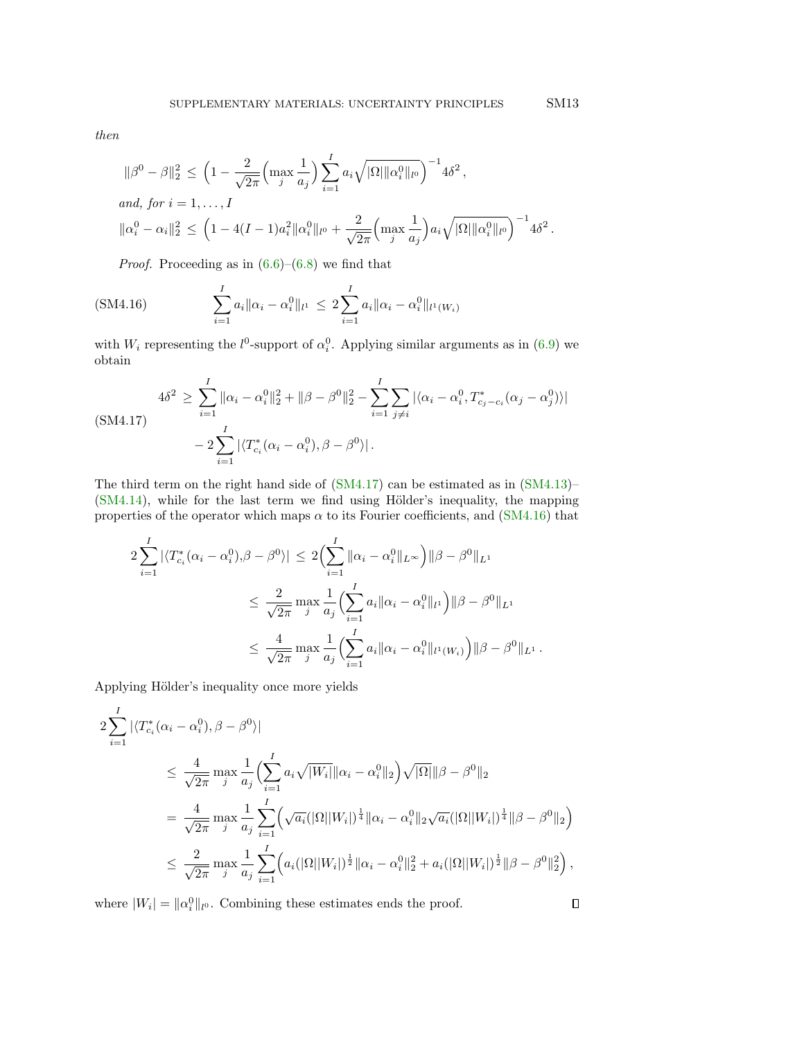then

$$
\|\beta^{0} - \beta\|_{2}^{2} \le \left(1 - \frac{2}{\sqrt{2\pi}} \left(\max_{j} \frac{1}{a_{j}}\right) \sum_{i=1}^{I} a_{i} \sqrt{|\Omega| \|\alpha_{i}^{0}\|_{l^{0}}}\right)^{-1} 4\delta^{2},
$$
  
and, for  $i = 1, ..., I$ 

$$
\|\alpha_i^0 - \alpha_i\|_2^2 \, \leq \, \Big(1 - 4(I-1)a_i^2 \|\alpha_i^0\|_{l^0} + \frac{2}{\sqrt{2\pi}} \Big(\max_j \frac{1}{a_j}\Big) a_i \sqrt{|\Omega| \|\alpha_i^0\|_{l^0}}\Big)^{-1} 4\delta^2\,.
$$

<span id="page-12-1"></span>*Proof.* Proceeding as in  $(6.6)$ – $(6.8)$  we find that

(SM4.16) 
$$
\sum_{i=1}^{I} a_i \|\alpha_i - \alpha_i^0\|_{l^1} \le 2 \sum_{i=1}^{I} a_i \|\alpha_i - \alpha_i^0\|_{l^1(W_i)}
$$

with  $W_i$  representing the  $l^0$ -support of  $\alpha_i^0$ . Applying similar arguments as in (6.9) we obtain

<span id="page-12-0"></span>
$$
4\delta^2 \ge \sum_{i=1}^I \|\alpha_i - \alpha_i^0\|_2^2 + \|\beta - \beta^0\|_2^2 - \sum_{i=1}^I \sum_{j \ne i} |\langle \alpha_i - \alpha_i^0, T_{c_j - c_i}^*(\alpha_j - \alpha_j^0) \rangle|
$$
  
- 2 $\sum_{i=1}^I |\langle T_{c_i}^*(\alpha_i - \alpha_i^0), \beta - \beta^0 \rangle|$ .

The third term on the right hand side of [\(SM4.17\)](#page-12-0) can be estimated as in [\(SM4.13\)](#page-10-2)–  $(SM4.14)$ , while for the last term we find using Hölder's inequality, the mapping properties of the operator which maps  $\alpha$  to its Fourier coefficients, and [\(SM4.16\)](#page-12-1) that

$$
2\sum_{i=1}^{I} |\langle T_{c_i}^*(\alpha_i - \alpha_i^0), \beta - \beta^0 \rangle| \le 2\left(\sum_{i=1}^{I} \|\alpha_i - \alpha_i^0\|_{L^{\infty}}\right) \|\beta - \beta^0\|_{L^1}
$$
  

$$
\le \frac{2}{\sqrt{2\pi}} \max_{j} \frac{1}{a_j} \left(\sum_{i=1}^{I} a_i \|\alpha_i - \alpha_i^0\|_{l^1}\right) \|\beta - \beta^0\|_{L^1}
$$
  

$$
\le \frac{4}{\sqrt{2\pi}} \max_{j} \frac{1}{a_j} \left(\sum_{i=1}^{I} a_i \|\alpha_i - \alpha_i^0\|_{l^1(W_i)}\right) \|\beta - \beta^0\|_{L^1}.
$$

Applying Hölder's inequality once more yields

$$
2\sum_{i=1}^{I} |\langle T_{c_i}^*(\alpha_i - \alpha_i^0), \beta - \beta^0 \rangle|
$$
  
\n
$$
\leq \frac{4}{\sqrt{2\pi}} \max_{j} \frac{1}{a_j} \Biggl( \sum_{i=1}^{I} a_i \sqrt{|W_i|} ||\alpha_i - \alpha_i^0||_2 \Biggr) \sqrt{|\Omega|} ||\beta - \beta^0||_2
$$
  
\n
$$
= \frac{4}{\sqrt{2\pi}} \max_{j} \frac{1}{a_j} \sum_{i=1}^{I} \Biggl( \sqrt{a_i} (|\Omega||W_i|)^{\frac{1}{4}} ||\alpha_i - \alpha_i^0||_2 \sqrt{a_i} (|\Omega||W_i|)^{\frac{1}{4}} ||\beta - \beta^0||_2 \Biggr)
$$
  
\n
$$
\leq \frac{2}{\sqrt{2\pi}} \max_{j} \frac{1}{a_j} \sum_{i=1}^{I} \Biggl( a_i (|\Omega||W_i|)^{\frac{1}{2}} ||\alpha_i - \alpha_i^0||_2^2 + a_i (|\Omega||W_i|)^{\frac{1}{2}} ||\beta - \beta^0||_2^2 \Biggr),
$$

where  $|W_i| = \|\alpha_i^0\|_{l^0}$ . Combining these estimates ends the proof.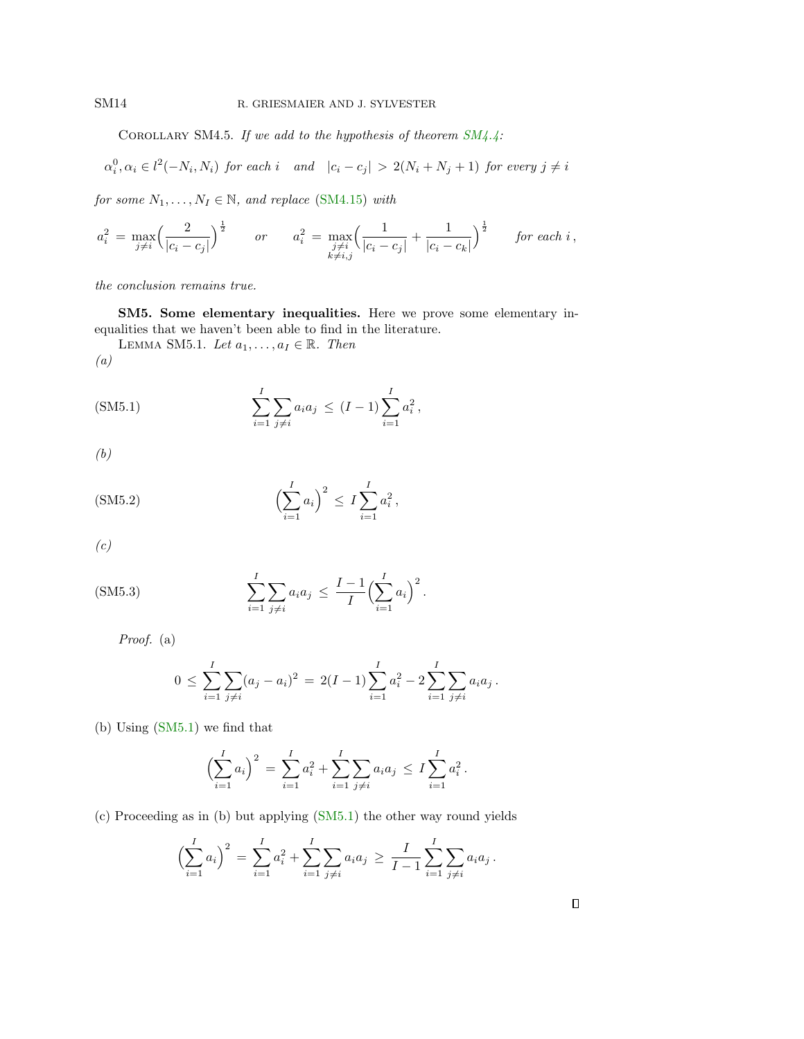<span id="page-13-0"></span>COROLLARY SM4.5. If we add to the hypothesis of theorem  $SM4.4$ :

$$
\alpha_i^0, \alpha_i \in l^2(-N_i, N_i) \text{ for each } i \quad \text{and} \quad |c_i - c_j| > 2(N_i + N_j + 1) \text{ for every } j \neq i
$$

for some  $N_1, \ldots, N_I \in \mathbb{N}$ , and replace [\(SM4.15\)](#page-11-2) with

$$
a_i^2 = \max_{j \neq i} \left( \frac{2}{|c_i - c_j|} \right)^{\frac{1}{2}} \qquad or \qquad a_i^2 = \max_{\substack{j \neq i \\ k \neq i,j}} \left( \frac{1}{|c_i - c_j|} + \frac{1}{|c_i - c_k|} \right)^{\frac{1}{2}} \qquad \text{for each } i \,,
$$

the conclusion remains true.

SM5. Some elementary inequalities. Here we prove some elementary inequalities that we haven't been able to find in the literature.

<span id="page-13-3"></span>LEMMA SM5.1. Let  $a_1, \ldots, a_I \in \mathbb{R}$ . Then (a)

(SM5.1) 
$$
\sum_{i=1}^{I} \sum_{j \neq i} a_i a_j \leq (I-1) \sum_{i=1}^{I} a_i^2,
$$

<span id="page-13-2"></span>(b)

(SM5.2) 
$$
\left(\sum_{i=1}^{I} a_i\right)^2 \leq I \sum_{i=1}^{I} a_i^2,
$$

<span id="page-13-1"></span>(c)

(SM5.3) 
$$
\sum_{i=1}^{I} \sum_{j \neq i} a_i a_j \leq \frac{I-1}{I} \Biggl( \sum_{i=1}^{I} a_i \Biggr)^2.
$$

Proof. (a)

$$
0 \leq \sum_{i=1}^{I} \sum_{j \neq i} (a_j - a_i)^2 = 2(I-1) \sum_{i=1}^{I} a_i^2 - 2 \sum_{i=1}^{I} \sum_{j \neq i} a_i a_j.
$$

(b) Using [\(SM5.1\)](#page-13-3) we find that

$$
\left(\sum_{i=1}^{I} a_i\right)^2 = \sum_{i=1}^{I} a_i^2 + \sum_{i=1}^{I} \sum_{j \neq i} a_i a_j \leq I \sum_{i=1}^{I} a_i^2.
$$

(c) Proceeding as in (b) but applying [\(SM5.1\)](#page-13-3) the other way round yields

$$
\left(\sum_{i=1}^{I} a_i\right)^2 = \sum_{i=1}^{I} a_i^2 + \sum_{i=1}^{I} \sum_{j \neq i} a_i a_j \ge \frac{I}{I-1} \sum_{i=1}^{I} \sum_{j \neq i} a_i a_j.
$$